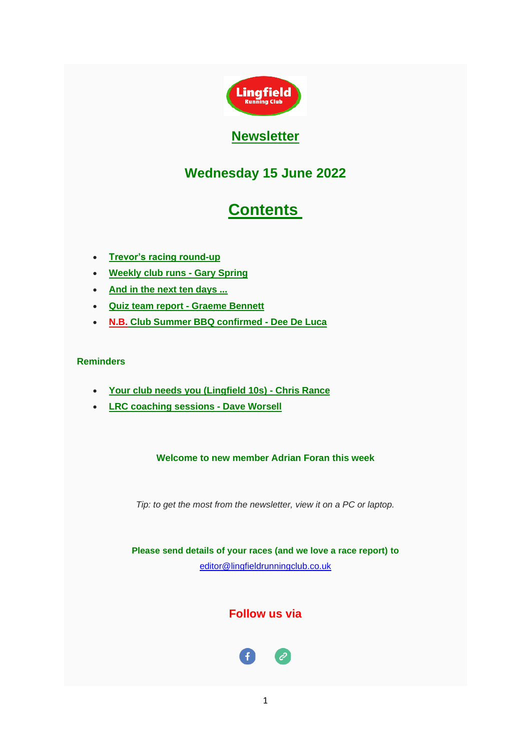

# **Newsletter**

# **Wednesday 15 June 2022**

# **Contents**

- <span id="page-0-0"></span>• **[Trevor's racing round-up](#page-1-0)**
- **[Weekly club runs -](#page-5-0) Gary Spring**
- **[And in the next ten days ...](#page-7-0)**
- **[Quiz team report -](#page-8-0) Graeme Bennett**
- **N.B. [Club Summer BBQ confirmed -](#page-9-0) Dee De Luca**

### **Reminders**

- **[Your club needs you \(Lingfield 10s\) -](#page-10-0) Chris Rance**
- **[LRC coaching sessions -](#page-12-0) Dave Worsell**

# **Welcome to new member Adrian Foran this week**

*Tip: to get the most from the newsletter, view it on a PC or laptop.*

**Please send details of your races (and we love a race report) to**  [editor@lingfieldrunningclub.co.uk](mailto:editor@lingfieldrunningclub.co.uk)

**Follow us via**

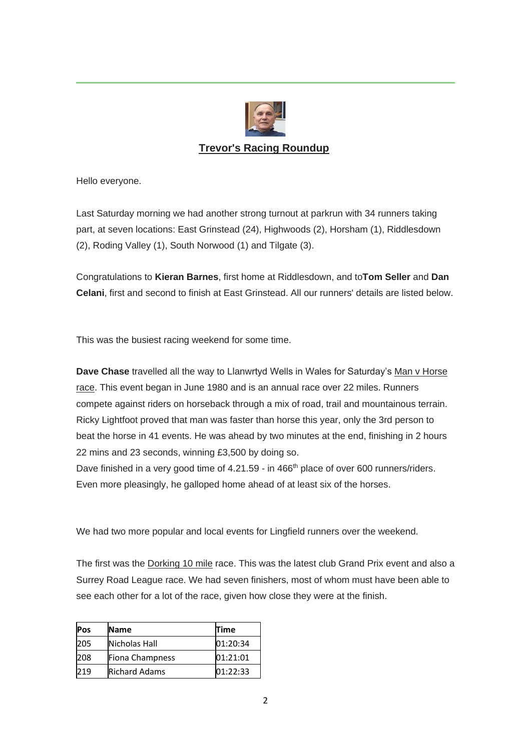

# **Trevor's Racing Roundup**

<span id="page-1-0"></span>Hello everyone.

Last Saturday morning we had another strong turnout at parkrun with 34 runners taking part, at seven locations: East Grinstead (24), Highwoods (2), Horsham (1), Riddlesdown (2), Roding Valley (1), South Norwood (1) and Tilgate (3).

Congratulations to **Kieran Barnes**, first home at Riddlesdown, and to**Tom Seller** and **Dan Celani**, first and second to finish at East Grinstead. All our runners' details are listed below.

This was the busiest racing weekend for some time.

**Dave Chase** travelled all the way to Llanwrtyd Wells in Wales for Saturday's Man v Horse race. This event began in June 1980 and is an annual race over 22 miles. Runners compete against riders on horseback through a mix of road, trail and mountainous terrain. Ricky Lightfoot proved that man was faster than horse this year, only the 3rd person to beat the horse in 41 events. He was ahead by two minutes at the end, finishing in 2 hours 22 mins and 23 seconds, winning £3,500 by doing so.

Dave finished in a very good time of 4.21.59 - in 466<sup>th</sup> place of over 600 runners/riders. Even more pleasingly, he galloped home ahead of at least six of the horses.

We had two more popular and local events for Lingfield runners over the weekend.

The first was the Dorking 10 mile race. This was the latest club Grand Prix event and also a Surrey Road League race. We had seven finishers, most of whom must have been able to see each other for a lot of the race, given how close they were at the finish.

| Pos | <b>Name</b>          | <b>Time</b> |
|-----|----------------------|-------------|
| 205 | Nicholas Hall        | 01:20:34    |
| 208 | Fiona Champness      | 01:21:01    |
| 219 | <b>Richard Adams</b> | 01:22:33    |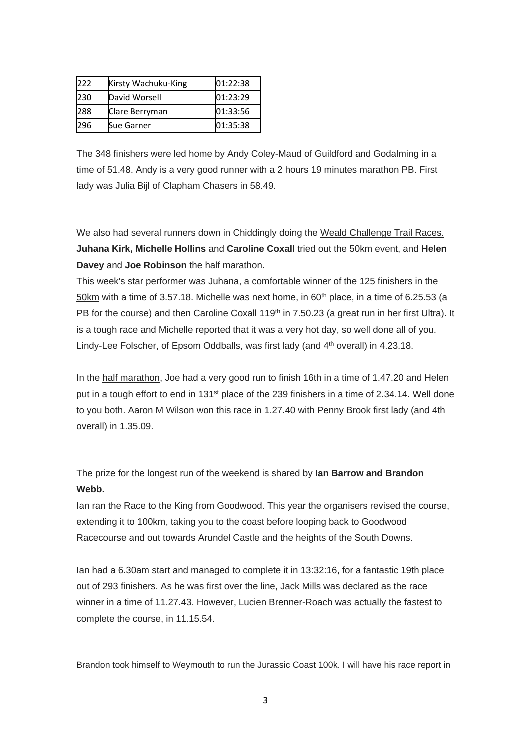| 222 | Kirsty Wachuku-King | 01:22:38 |
|-----|---------------------|----------|
| 230 | David Worsell       | 01:23:29 |
| 288 | Clare Berryman      | 01:33:56 |
| 296 | Sue Garner          | 01:35:38 |

The 348 finishers were led home by Andy Coley-Maud of Guildford and Godalming in a time of 51.48. Andy is a very good runner with a 2 hours 19 minutes marathon PB. First lady was Julia Bijl of Clapham Chasers in 58.49.

We also had several runners down in Chiddingly doing the Weald Challenge Trail Races. **Juhana Kirk, Michelle Hollins** and **Caroline Coxall** tried out the 50km event, and **Helen Davey** and **Joe Robinson** the half marathon.

This week's star performer was Juhana, a comfortable winner of the 125 finishers in the 50km with a time of 3.57.18. Michelle was next home, in  $60<sup>th</sup>$  place, in a time of 6.25.53 (a PB for the course) and then Caroline Coxall 119<sup>th</sup> in 7.50.23 (a great run in her first Ultra). It is a tough race and Michelle reported that it was a very hot day, so well done all of you. Lindy-Lee Folscher, of Epsom Oddballs, was first lady (and  $4<sup>th</sup>$  overall) in 4.23.18.

In the half marathon, Joe had a very good run to finish 16th in a time of 1.47.20 and Helen put in a tough effort to end in 131<sup>st</sup> place of the 239 finishers in a time of 2.34.14. Well done to you both. Aaron M Wilson won this race in 1.27.40 with Penny Brook first lady (and 4th overall) in 1.35.09.

The prize for the longest run of the weekend is shared by **Ian Barrow and Brandon Webb.**

Ian ran the Race to the King from Goodwood. This year the organisers revised the course, extending it to 100km, taking you to the coast before looping back to Goodwood Racecourse and out towards Arundel Castle and the heights of the South Downs.

Ian had a 6.30am start and managed to complete it in 13:32:16, for a fantastic 19th place out of 293 finishers. As he was first over the line, Jack Mills was declared as the race winner in a time of 11.27.43. However, Lucien Brenner-Roach was actually the fastest to complete the course, in 11.15.54.

Brandon took himself to Weymouth to run the Jurassic Coast 100k. I will have his race report in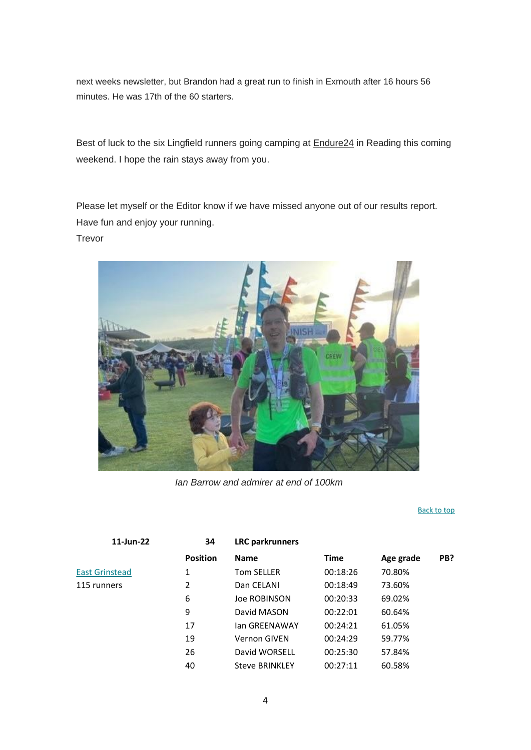next weeks newsletter, but Brandon had a great run to finish in Exmouth after 16 hours 56 minutes. He was 17th of the 60 starters.

Best of luck to the six Lingfield runners going camping at Endure24 in Reading this coming weekend. I hope the rain stays away from you.

Please let myself or the Editor know if we have missed anyone out of our results report. Have fun and enjoy your running. Trevor



*Ian Barrow and admirer at end of 100km*

#### [Back to top](#page-0-0)

| 11-Jun-22             | 34              | <b>LRC</b> parkrunners |             |           |     |
|-----------------------|-----------------|------------------------|-------------|-----------|-----|
|                       | <b>Position</b> | <b>Name</b>            | <b>Time</b> | Age grade | PB? |
| <b>East Grinstead</b> | 1               | <b>Tom SELLER</b>      | 00:18:26    | 70.80%    |     |
| 115 runners           | 2               | Dan CELANI             | 00:18:49    | 73.60%    |     |
|                       | 6               | Joe ROBINSON           | 00:20:33    | 69.02%    |     |
|                       | 9               | David MASON            | 00:22:01    | 60.64%    |     |
|                       | 17              | lan GREENAWAY          | 00:24:21    | 61.05%    |     |
|                       | 19              | <b>Vernon GIVEN</b>    | 00:24:29    | 59.77%    |     |
|                       | 26              | David WORSELL          | 00:25:30    | 57.84%    |     |
|                       | 40              | <b>Steve BRINKLEY</b>  | 00:27:11    | 60.58%    |     |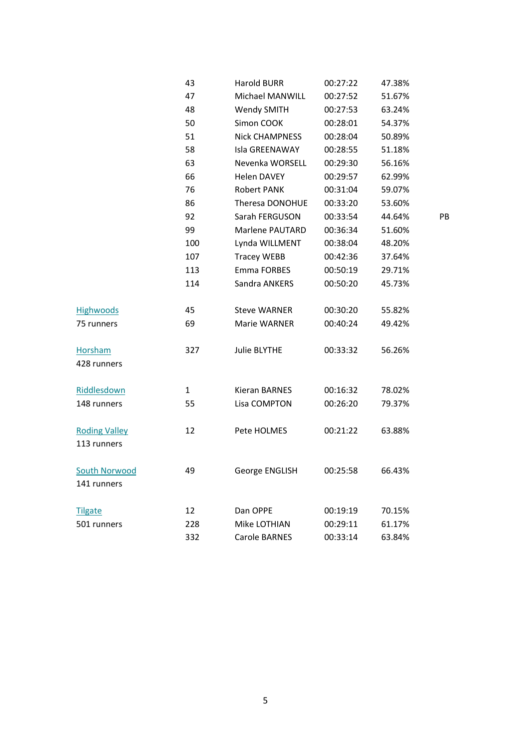|                      | 43  | <b>Harold BURR</b>    | 00:27:22 | 47.38% |    |
|----------------------|-----|-----------------------|----------|--------|----|
|                      | 47  | Michael MANWILL       | 00:27:52 | 51.67% |    |
|                      | 48  | Wendy SMITH           | 00:27:53 | 63.24% |    |
|                      | 50  | Simon COOK            | 00:28:01 | 54.37% |    |
|                      | 51  | <b>Nick CHAMPNESS</b> | 00:28:04 | 50.89% |    |
|                      | 58  | Isla GREENAWAY        | 00:28:55 | 51.18% |    |
|                      | 63  | Nevenka WORSELL       | 00:29:30 | 56.16% |    |
|                      | 66  | <b>Helen DAVEY</b>    | 00:29:57 | 62.99% |    |
|                      | 76  | <b>Robert PANK</b>    | 00:31:04 | 59.07% |    |
|                      | 86  | Theresa DONOHUE       | 00:33:20 | 53.60% |    |
|                      | 92  | Sarah FERGUSON        | 00:33:54 | 44.64% | PB |
|                      | 99  | Marlene PAUTARD       | 00:36:34 | 51.60% |    |
|                      | 100 | Lynda WILLMENT        | 00:38:04 | 48.20% |    |
|                      | 107 | <b>Tracey WEBB</b>    | 00:42:36 | 37.64% |    |
|                      | 113 | Emma FORBES           | 00:50:19 | 29.71% |    |
|                      | 114 | Sandra ANKERS         | 00:50:20 | 45.73% |    |
| <b>Highwoods</b>     | 45  | <b>Steve WARNER</b>   | 00:30:20 | 55.82% |    |
| 75 runners           | 69  | Marie WARNER          | 00:40:24 | 49.42% |    |
| <b>Horsham</b>       | 327 | <b>Julie BLYTHE</b>   | 00:33:32 | 56.26% |    |
| 428 runners          |     |                       |          |        |    |
| Riddlesdown          |     | <b>Kieran BARNES</b>  | 00:16:32 | 78.02% |    |
|                      | 1   |                       |          |        |    |
| 148 runners          | 55  | Lisa COMPTON          | 00:26:20 | 79.37% |    |
| <b>Roding Valley</b> | 12  | Pete HOLMES           | 00:21:22 | 63.88% |    |
| 113 runners          |     |                       |          |        |    |
| South Norwood        | 49  | George ENGLISH        | 00:25:58 | 66.43% |    |
| 141 runners          |     |                       |          |        |    |
| <b>Tilgate</b>       | 12  | Dan OPPE              | 00:19:19 | 70.15% |    |
| 501 runners          | 228 | Mike LOTHIAN          | 00:29:11 | 61.17% |    |
|                      | 332 | <b>Carole BARNES</b>  | 00:33:14 | 63.84% |    |
|                      |     |                       |          |        |    |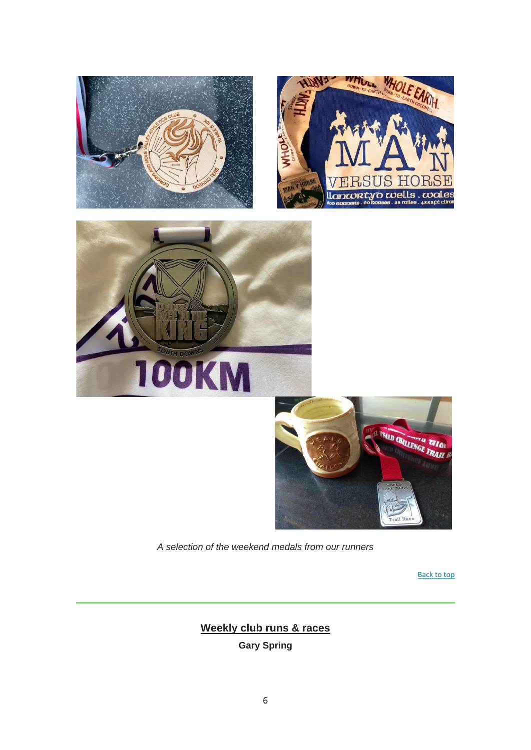

<span id="page-5-0"></span>*A selection of the weekend medals from our runners*

[Back to top](#page-0-0)

**Weekly club runs & races Gary Spring**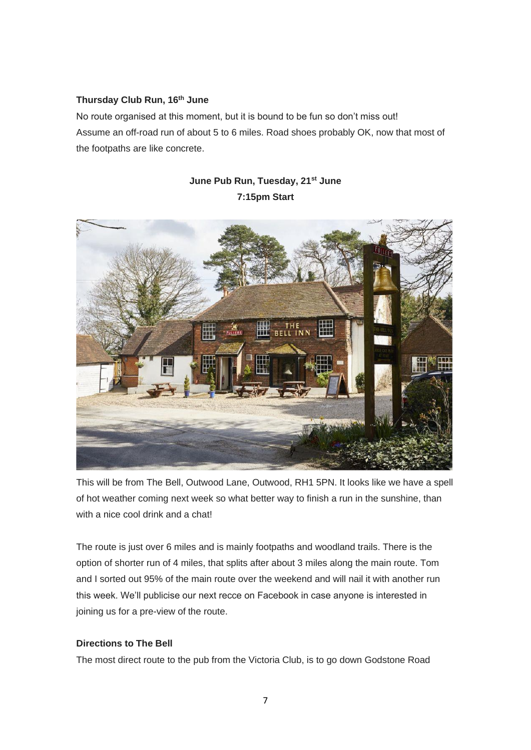#### **Thursday Club Run, 16th June**

No route organised at this moment, but it is bound to be fun so don't miss out! Assume an off-road run of about 5 to 6 miles. Road shoes probably OK, now that most of the footpaths are like concrete.

> **June Pub Run, Tuesday, 21st June 7:15pm Start**

# Concession

This will be from The Bell, Outwood Lane, Outwood, RH1 5PN. It looks like we have a spell of hot weather coming next week so what better way to finish a run in the sunshine, than with a nice cool drink and a chat!

The route is just over 6 miles and is mainly footpaths and woodland trails. There is the option of shorter run of 4 miles, that splits after about 3 miles along the main route. Tom and I sorted out 95% of the main route over the weekend and will nail it with another run this week. We'll publicise our next recce on Facebook in case anyone is interested in joining us for a pre-view of the route.

#### **Directions to The Bell**

The most direct route to the pub from the Victoria Club, is to go down Godstone Road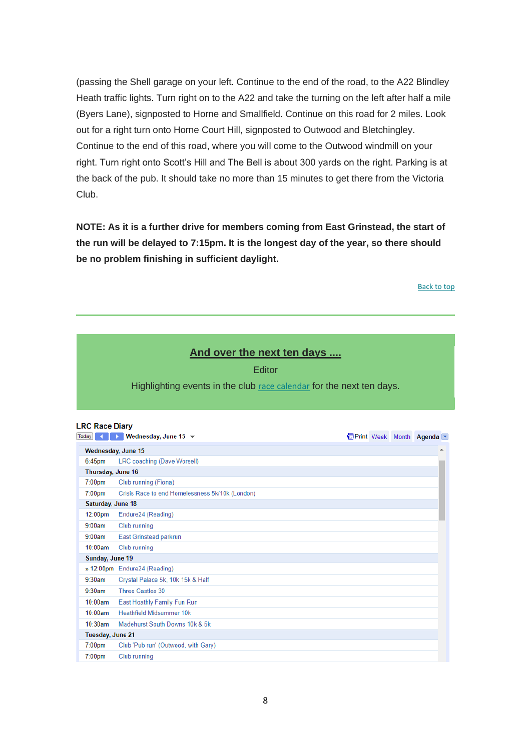(passing the Shell garage on your left. Continue to the end of the road, to the A22 Blindley Heath traffic lights. Turn right on to the A22 and take the turning on the left after half a mile (Byers Lane), signposted to Horne and Smallfield. Continue on this road for 2 miles. Look out for a right turn onto Horne Court Hill, signposted to Outwood and Bletchingley. Continue to the end of this road, where you will come to the Outwood windmill on your right. Turn right onto Scott's Hill and The Bell is about 300 yards on the right. Parking is at the back of the pub. It should take no more than 15 minutes to get there from the Victoria Club.

**NOTE: As it is a further drive for members coming from East Grinstead, the start of the run will be delayed to 7:15pm. It is the longest day of the year, so there should be no problem finishing in sufficient daylight.**

[Back to top](#page-0-0)

# **And over the next ten days ....**

#### **Editor**

<span id="page-7-0"></span>Highlighting events in the club [race calendar](https://lingfieldrunningclub.us15.list-manage.com/track/click?u=06ee37595aba77e0e81ded734&id=ce2067bc0c&e=7eacd48f96) for the next ten days.

#### **LRC Race Diary**

| <b>Today</b>       | Wednesday, June 15 $\blacktriangledown$         |  |  |  | <b> </b> Print Week Month Agenda |
|--------------------|-------------------------------------------------|--|--|--|----------------------------------|
| Wednesday, June 15 |                                                 |  |  |  | ▲                                |
| $6:45$ pm          | LRC coaching (Dave Worsell)                     |  |  |  |                                  |
|                    | Thursday, June 16                               |  |  |  |                                  |
| $7:00$ pm          | Club running (Fiona)                            |  |  |  |                                  |
| 7:00 <sub>pm</sub> | Crisis Race to end Homelessness 5k/10k (London) |  |  |  |                                  |
| Saturday, June 18  |                                                 |  |  |  |                                  |
| 12:00pm            | Endure24 (Reading)                              |  |  |  |                                  |
| 9:00am             | Club running                                    |  |  |  |                                  |
| 9:00am             | East Grinstead parkrun                          |  |  |  |                                  |
| 10:00am            | Club running                                    |  |  |  |                                  |
| Sunday, June 19    |                                                 |  |  |  |                                  |
|                    | » 12:00pm Endure24 (Reading)                    |  |  |  |                                  |
| 9:30am             | Crystal Palace 5k, 10k 15k & Half               |  |  |  |                                  |
| 9:30am             | Three Castles 30                                |  |  |  |                                  |
| 10:00am            | East Hoathly Family Fun Run                     |  |  |  |                                  |
| 10:00am            | <b>Heathfield Midsummer 10k</b>                 |  |  |  |                                  |
| 10:30am            | Madehurst South Downs 10k & 5k                  |  |  |  |                                  |
| Tuesday, June 21   |                                                 |  |  |  |                                  |
| $7:00$ pm          | Club 'Pub run' (Outwood, with Gary)             |  |  |  |                                  |
| $7:00$ pm          | Club running                                    |  |  |  |                                  |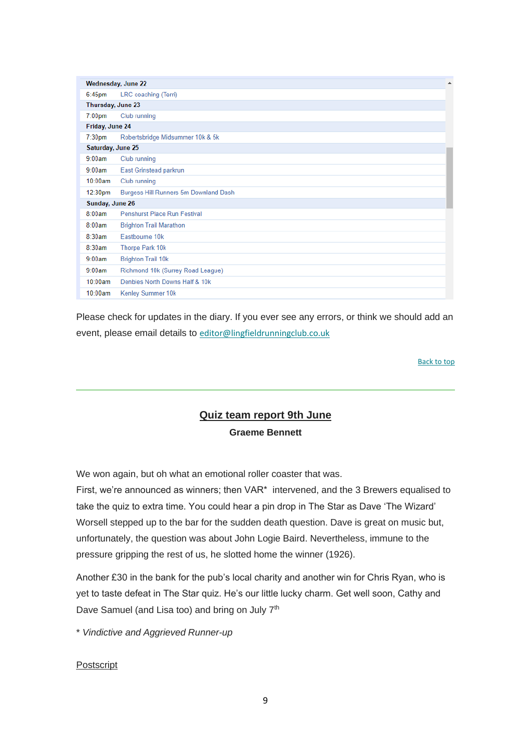|                    | Wednesday, June 22                    | ▲ |  |  |  |
|--------------------|---------------------------------------|---|--|--|--|
| $6:45$ pm          | LRC coaching (Terri)                  |   |  |  |  |
| Thursday, June 23  |                                       |   |  |  |  |
| $7:00$ pm          | Club running                          |   |  |  |  |
| Friday, June 24    |                                       |   |  |  |  |
| 7:30 <sub>pm</sub> | Robertsbridge Midsummer 10k & 5k      |   |  |  |  |
| Saturday, June 25  |                                       |   |  |  |  |
| 9:00am             | Club running                          |   |  |  |  |
| 9:00am             | East Grinstead parkrun                |   |  |  |  |
| 10:00am            | Club running                          |   |  |  |  |
| 12:30pm            | Burgess Hill Runners 5m Downland Dash |   |  |  |  |
|                    | Sunday, June 26                       |   |  |  |  |
| 8:00am             | Penshurst Place Run Festival          |   |  |  |  |
| 8:00am             | <b>Brighton Trail Marathon</b>        |   |  |  |  |
| 8:30am             | Fastbourne 10k                        |   |  |  |  |
| 8:30am             | Thorpe Park 10k                       |   |  |  |  |
| 9:00am             | <b>Brighton Trail 10k</b>             |   |  |  |  |
| 9:00am             | Richmond 10k (Surrey Road League)     |   |  |  |  |
| 10:00am            | Denbies North Downs Half & 10k        |   |  |  |  |
| 10:00am            | Kenley Summer 10k                     |   |  |  |  |

Please check for updates in the diary. If you ever see any errors, or think we should add an event, please email details to [editor@lingfieldrunningclub.co.uk](mailto:editor@lingfieldrunningclub.co.uk)

[Back to top](#page-0-0)

# **Quiz team report 9th June Graeme Bennett**

<span id="page-8-0"></span>We won again, but oh what an emotional roller coaster that was.

First, we're announced as winners; then VAR\* intervened, and the 3 Brewers equalised to take the quiz to extra time. You could hear a pin drop in The Star as Dave 'The Wizard' Worsell stepped up to the bar for the sudden death question. Dave is great on music but, unfortunately, the question was about John Logie Baird. Nevertheless, immune to the pressure gripping the rest of us, he slotted home the winner (1926).

Another £30 in the bank for the pub's local charity and another win for Chris Ryan, who is yet to taste defeat in The Star quiz. He's our little lucky charm. Get well soon, Cathy and Dave Samuel (and Lisa too) and bring on July 7<sup>th</sup>

\* *Vindictive and Aggrieved Runner-up*

#### **Postscript**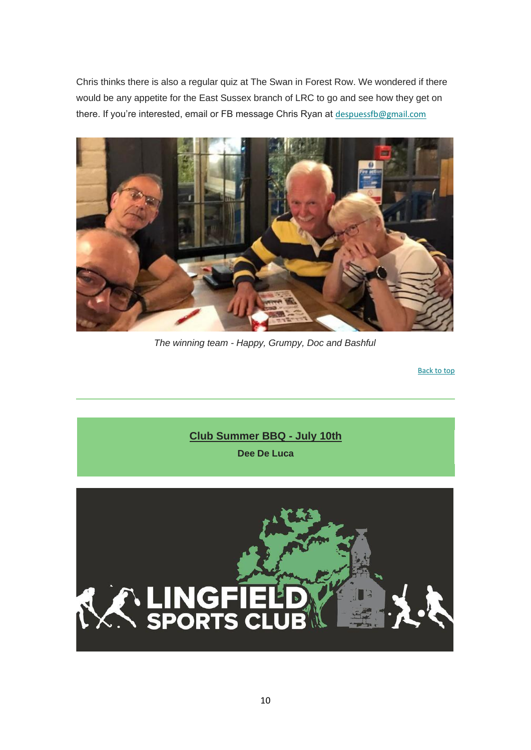Chris thinks there is also a regular quiz at The Swan in Forest Row. We wondered if there would be any appetite for the East Sussex branch of LRC to go and see how they get on there. If you're interested, email or FB message Chris Ryan at [despuessfb@gmail.com](mailto:despuessfb@gmail.com)



*The winning team - Happy, Grumpy, Doc and Bashful*

[Back to top](#page-0-0)

<span id="page-9-0"></span>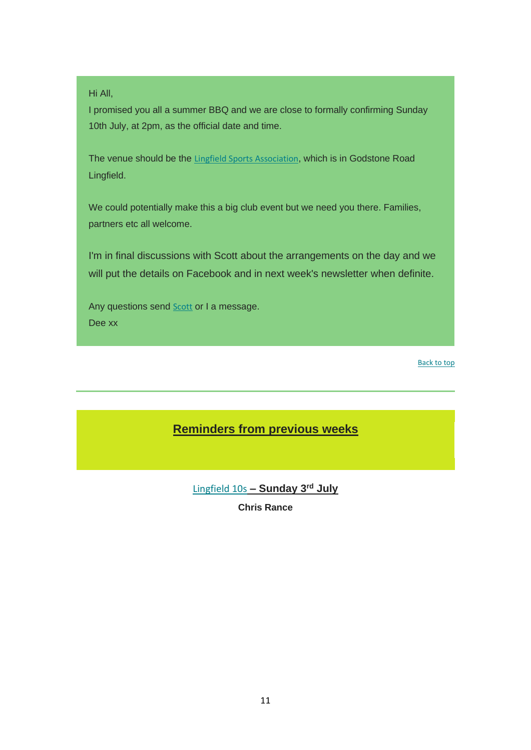#### Hi All,

I promised you all a summer BBQ and we are close to formally confirming Sunday 10th July, at 2pm, as the official date and time.

The venue should be the [Lingfield Sports Association](https://lingfieldrunningclub.us15.list-manage.com/track/click?u=06ee37595aba77e0e81ded734&id=32d557255c&e=7eacd48f96), which is in Godstone Road Lingfield.

We could potentially make this a big club event but we need you there. Families, partners etc all welcome.

I'm in final discussions with Scott about the arrangements on the day and we will put the details on Facebook and in next week's newsletter when definite.

Any questions send **[Scott](mailto:chair@lingfieldrunningclub.co.uk)** or I a message. Dee xx

[Back to top](#page-0-0)

# <span id="page-10-0"></span>**Reminders from previous weeks**

[Lingfield 10s](https://lingfieldrunningclub.us15.list-manage.com/track/click?u=06ee37595aba77e0e81ded734&id=cb06bfeff8&e=7eacd48f96) **– Sunday 3 rd July**

**Chris Rance**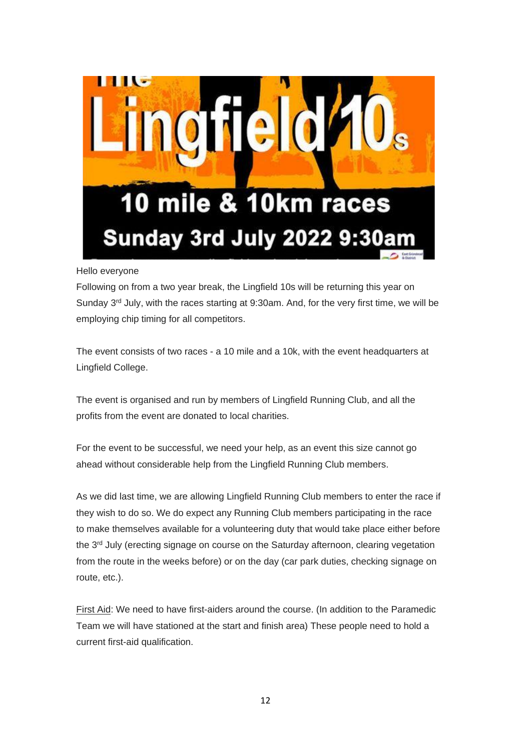

Hello everyone

Following on from a two year break, the Lingfield 10s will be returning this year on Sunday  $3^{rd}$  July, with the races starting at 9:30am. And, for the very first time, we will be employing chip timing for all competitors.

The event consists of two races - a 10 mile and a 10k, with the event headquarters at Lingfield College.

The event is organised and run by members of Lingfield Running Club, and all the profits from the event are donated to local charities.

For the event to be successful, we need your help, as an event this size cannot go ahead without considerable help from the Lingfield Running Club members.

As we did last time, we are allowing Lingfield Running Club members to enter the race if they wish to do so. We do expect any Running Club members participating in the race to make themselves available for a volunteering duty that would take place either before the 3<sup>rd</sup> July (erecting signage on course on the Saturday afternoon, clearing vegetation from the route in the weeks before) or on the day (car park duties, checking signage on route, etc.).

First Aid: We need to have first-aiders around the course. (In addition to the Paramedic Team we will have stationed at the start and finish area) These people need to hold a current first-aid qualification.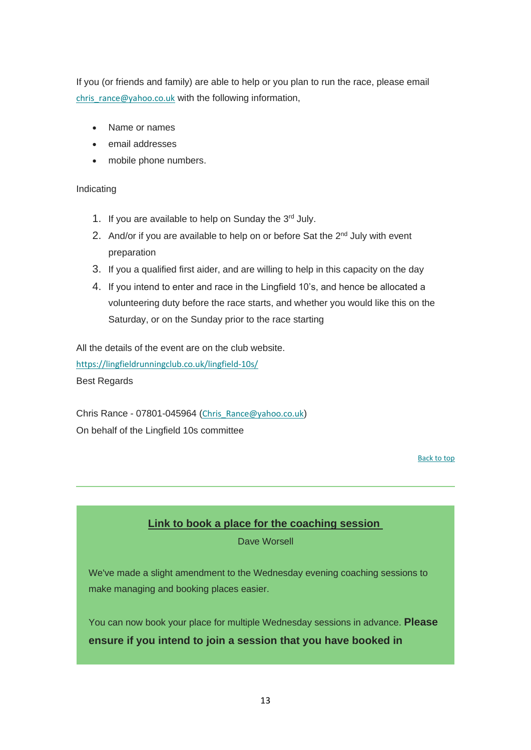If you (or friends and family) are able to help or you plan to run the race, please email [chris\\_rance@yahoo.co.uk](mailto:chris_rance@yahoo.co.uk) with the following information,

- Name or names
- email addresses
- mobile phone numbers.

#### Indicating

- 1. If you are available to help on Sunday the 3rd July.
- 2. And/or if you are available to help on or before Sat the 2<sup>nd</sup> July with event preparation
- 3. If you a qualified first aider, and are willing to help in this capacity on the day
- 4. If you intend to enter and race in the Lingfield 10's, and hence be allocated a volunteering duty before the race starts, and whether you would like this on the Saturday, or on the Sunday prior to the race starting

All the details of the event are on the club website.

[https://lingfieldrunningclub.co.uk/lingfield-10s/](https://lingfieldrunningclub.us15.list-manage.com/track/click?u=06ee37595aba77e0e81ded734&id=273fceceec&e=7eacd48f96) Best Regards

Chris Rance - 07801-045964 ([Chris\\_Rance@yahoo.co.uk](mailto:Chris_Rance@yahoo.co.uk)) On behalf of the Lingfield 10s committee

[Back to top](#page-0-0)

# **Link to book a place for the coaching session**

Dave Worsell

<span id="page-12-0"></span>We've made a slight amendment to the Wednesday evening coaching sessions to make managing and booking places easier.

You can now book your place for multiple Wednesday sessions in advance. **Please ensure if you intend to join a session that you have booked in**